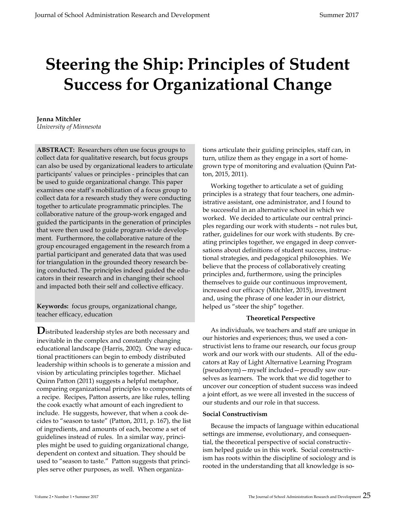# Steering the Ship: Principles of Student Success for Organizational Change

## Jenna Mitchler

University of Minnesota

ABSTRACT: Researchers often use focus groups to collect data for qualitative research, but focus groups can also be used by organizational leaders to articulate participants' values or principles - principles that can be used to guide organizational change. This paper examines one staff's mobilization of a focus group to collect data for a research study they were conducting together to articulate programmatic principles. The collaborative nature of the group-work engaged and guided the participants in the generation of principles that were then used to guide program-wide development. Furthermore, the collaborative nature of the group encouraged engagement in the research from a partial participant and generated data that was used for triangulation in the grounded theory research being conducted. The principles indeed guided the educators in their research and in changing their school and impacted both their self and collective efficacy.

Keywords: focus groups, organizational change, teacher efficacy, education

**D**istributed leadership styles are both necessary and inevitable in the complex and constantly changing educational landscape (Harris, 2002). One way educational practitioners can begin to embody distributed leadership within schools is to generate a mission and vision by articulating principles together. Michael Quinn Patton (2011) suggests a helpful metaphor, comparing organizational principles to components of a recipe. Recipes, Patton asserts, are like rules, telling the cook exactly what amount of each ingredient to include. He suggests, however, that when a cook decides to "season to taste" (Patton, 2011, p. 167), the list of ingredients, and amounts of each, become a set of guidelines instead of rules. In a similar way, principles might be used to guiding organizational change, dependent on context and situation. They should be used to "season to taste." Patton suggests that principles serve other purposes, as well. When organiza-

tions articulate their guiding principles, staff can, in turn, utilize them as they engage in a sort of homegrown type of monitoring and evaluation (Quinn Patton, 2015, 2011).

 Working together to articulate a set of guiding principles is a strategy that four teachers, one administrative assistant, one administrator, and I found to be successful in an alternative school in which we worked. We decided to articulate our central principles regarding our work with students – not rules but, rather, guidelines for our work with students. By creating principles together, we engaged in deep conversations about definitions of student success, instructional strategies, and pedagogical philosophies. We believe that the process of collaboratively creating principles and, furthermore, using the principles themselves to guide our continuous improvement, increased our efficacy (Mitchler, 2015), investment and, using the phrase of one leader in our district, helped us "steer the ship" together.

# Theoretical Perspective

 As individuals, we teachers and staff are unique in our histories and experiences; thus, we used a constructivist lens to frame our research, our focus group work and our work with our students. All of the educators at Ray of Light Alternative Learning Program (pseudonym)—myself included—proudly saw ourselves as learners. The work that we did together to uncover our conception of student success was indeed a joint effort, as we were all invested in the success of our students and our role in that success.

# Social Constructivism

 Because the impacts of language within educational settings are immense, evolutionary, and consequential, the theoretical perspective of social constructivism helped guide us in this work. Social constructivism has roots within the discipline of sociology and is rooted in the understanding that all knowledge is so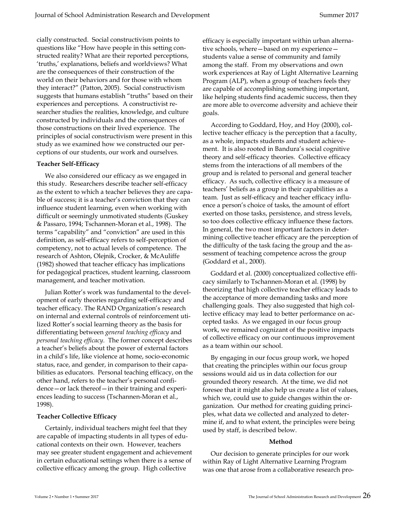cially constructed. Social constructivism points to questions like "How have people in this setting constructed reality? What are their reported perceptions, 'truths,' explanations, beliefs and worldviews? What are the consequences of their construction of the world on their behaviors and for those with whom they interact?" (Patton, 2005). Social constructivism suggests that humans establish "truths" based on their experiences and perceptions. A constructivist researcher studies the realities, knowledge, and culture constructed by individuals and the consequences of those constructions on their lived experience. The principles of social constructivism were present in this study as we examined how we constructed our perceptions of our students, our work and ourselves.

## Teacher Self-Efficacy

 We also considered our efficacy as we engaged in this study. Researchers describe teacher self-efficacy as the extent to which a teacher believes they are capable of success; it is a teacher's conviction that they can influence student learning, even when working with difficult or seemingly unmotivated students (Guskey & Passaro, 1994; Tschannen-Moran et al., 1998). The terms "capability" and "conviction" are used in this definition, as self-efficacy refers to self-perception of competency, not to actual levels of competence. The research of Ashton, Olejnik, Crocker, & McAuliffe (1982) showed that teacher efficacy has implications for pedagogical practices, student learning, classroom management, and teacher motivation.

 Julian Rotter's work was fundamental to the development of early theories regarding self-efficacy and teacher efficacy. The RAND Organization's research on internal and external controls of reinforcement utilized Rotter's social learning theory as the basis for differentiating between general teaching efficacy and personal teaching efficacy. The former concept describes a teacher's beliefs about the power of external factors in a child's life, like violence at home, socio-economic status, race, and gender, in comparison to their capabilities as educators. Personal teaching efficacy, on the other hand, refers to the teacher's personal confidence—or lack thereof—in their training and experiences leading to success (Tschannen-Moran et al., 1998).

## Teacher Collective Efficacy

 Certainly, individual teachers might feel that they are capable of impacting students in all types of educational contexts on their own. However, teachers may see greater student engagement and achievement in certain educational settings when there is a sense of collective efficacy among the group. High collective

efficacy is especially important within urban alternative schools, where—based on my experience students value a sense of community and family among the staff. From my observations and own work experiences at Ray of Light Alternative Learning Program (ALP), when a group of teachers feels they are capable of accomplishing something important, like helping students find academic success, then they are more able to overcome adversity and achieve their goals.

 According to Goddard, Hoy, and Hoy (2000), collective teacher efficacy is the perception that a faculty, as a whole, impacts students and student achievement. It is also rooted in Bandura's social cognitive theory and self-efficacy theories. Collective efficacy stems from the interactions of all members of the group and is related to personal and general teacher efficacy. As such, collective efficacy is a measure of teachers' beliefs as a group in their capabilities as a team. Just as self-efficacy and teacher efficacy influence a person's choice of tasks, the amount of effort exerted on those tasks, persistence, and stress levels, so too does collective efficacy influence these factors. In general, the two most important factors in determining collective teacher efficacy are the perception of the difficulty of the task facing the group and the assessment of teaching competence across the group (Goddard et al., 2000).

 Goddard et al. (2000) conceptualized collective efficacy similarly to Tschannen-Moran et al. (1998) by theorizing that high collective teacher efficacy leads to the acceptance of more demanding tasks and more challenging goals. They also suggested that high collective efficacy may lead to better performance on accepted tasks. As we engaged in our focus group work, we remained cognizant of the positive impacts of collective efficacy on our continuous improvement as a team within our school.

 By engaging in our focus group work, we hoped that creating the principles within our focus group sessions would aid us in data collection for our grounded theory research. At the time, we did not foresee that it might also help us create a list of values, which we, could use to guide changes within the organization. Our method for creating guiding principles, what data we collected and analyzed to determine if, and to what extent, the principles were being used by staff, is described below.

## Method

 Our decision to generate principles for our work within Ray of Light Alternative Learning Program was one that arose from a collaborative research pro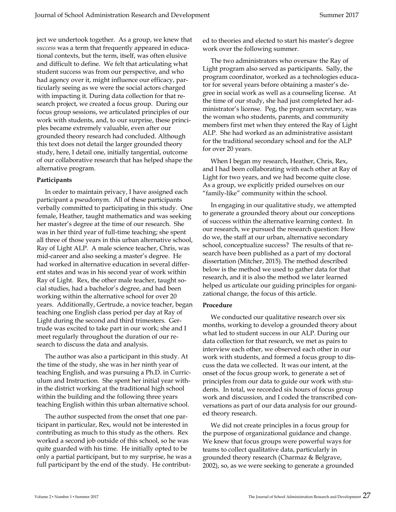ject we undertook together. As a group, we knew that success was a term that frequently appeared in educational contexts, but the term, itself, was often elusive and difficult to define. We felt that articulating what student success was from our perspective, and who had agency over it, might influence our efficacy, particularly seeing as we were the social actors charged with impacting it. During data collection for that research project, we created a focus group. During our focus group sessions, we articulated principles of our work with students, and, to our surprise, these principles became extremely valuable, even after our grounded theory research had concluded. Although this text does not detail the larger grounded theory study, here, I detail one, initially tangential, outcome of our collaborative research that has helped shape the alternative program.

## Participants

 In order to maintain privacy, I have assigned each participant a pseudonym. All of these participants verbally committed to participating in this study. One female, Heather, taught mathematics and was seeking her master's degree at the time of our research. She was in her third year of full-time teaching; she spent all three of those years in this urban alternative school, Ray of Light ALP. A male science teacher, Chris, was mid-career and also seeking a master's degree. He had worked in alternative education in several different states and was in his second year of work within Ray of Light. Rex, the other male teacher, taught social studies, had a bachelor's degree, and had been working within the alternative school for over 20 years. Additionally, Gertrude, a novice teacher, began teaching one English class period per day at Ray of Light during the second and third trimesters. Gertrude was excited to take part in our work; she and I meet regularly throughout the duration of our research to discuss the data and analysis.

 The author was also a participant in this study. At the time of the study, she was in her ninth year of teaching English, and was pursuing a Ph.D. in Curriculum and Instruction. She spent her initial year within the district working at the traditional high school within the building and the following three years teaching English within this urban alternative school.

 The author suspected from the onset that one participant in particular, Rex, would not be interested in contributing as much to this study as the others. Rex worked a second job outside of this school, so he was quite guarded with his time. He initially opted to be only a partial participant, but to my surprise, he was a full participant by the end of the study. He contributed to theories and elected to start his master's degree work over the following summer.

 The two administrators who oversaw the Ray of Light program also served as participants. Sally, the program coordinator, worked as a technologies educator for several years before obtaining a master's degree in social work as well as a counseling license. At the time of our study, she had just completed her administrator's license. Peg, the program secretary, was the woman who students, parents, and community members first met when they entered the Ray of Light ALP. She had worked as an administrative assistant for the traditional secondary school and for the ALP for over 20 years.

 When I began my research, Heather, Chris, Rex, and I had been collaborating with each other at Ray of Light for two years, and we had become quite close. As a group, we explicitly prided ourselves on our "family-like" community within the school.

 In engaging in our qualitative study, we attempted to generate a grounded theory about our conceptions of success within the alternative learning context. In our research, we pursued the research question: How do we, the staff at our urban, alternative secondary school, conceptualize success? The results of that research have been published as a part of my doctoral dissertation (Mitcher, 2015). The method described below is the method we used to gather data for that research, and it is also the method we later learned helped us articulate our guiding principles for organizational change, the focus of this article.

# Procedure

 We conducted our qualitative research over six months, working to develop a grounded theory about what led to student success in our ALP. During our data collection for that research, we met as pairs to interview each other, we observed each other in our work with students, and formed a focus group to discuss the data we collected. It was our intent, at the onset of the focus group work, to generate a set of principles from our data to guide our work with students. In total, we recorded six hours of focus group work and discussion, and I coded the transcribed conversations as part of our data analysis for our grounded theory research.

 We did not create principles in a focus group for the purpose of organizational guidance and change. We knew that focus groups were powerful ways for teams to collect qualitative data, particularly in grounded theory research (Charmaz & Belgrave, 2002), so, as we were seeking to generate a grounded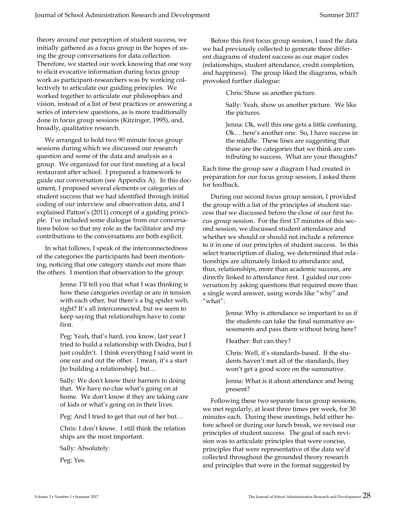theory around our perception of student success, we initially gathered as a focus group in the hopes of using the group conversations for data collection. Therefore, we started our work knowing that one way to elicit evocative information during focus group work as participant-researchers was by working collectively to articulate our guiding principles. We worked together to articulate our philosophies and vision, instead of a list of best practices or answering a series of interview questions, as is more traditionally done in focus group sessions (Kitzinger, 1995), and, broadly, qualitative research.

 We arranged to hold two 90 minute focus group sessions during which we discussed our research question and some of the data and analysis as a group. We organized for our first meeting at a local restaurant after school. I prepared a framework to guide our conversation (see Appendix A). In this document, I proposed several elements or categories of student success that we had identified through initial coding of our interview and observation data, and I explained Patton's (2011) concept of a guiding principle. I've included some dialogue from our conversations below so that my role as the facilitator and my contributions to the conversations are both explicit.

 In what follows, I speak of the interconnectedness of the categories the participants had been mentioning, noticing that one category stands out more than the others. I mention that observation to the group:

> Jenna: I'll tell you that what I was thinking is how these categories overlap or are in tension with each other, but there's a big spider web, right? It's all interconnected, but we seem to keep saying that relationships have to come first.

Peg: Yeah, that's hard, you know, last year I tried to build a relationship with Deidra, but I just couldn't. I think everything I said went in one ear and out the other. I mean, it's a start [to building a relationship], but…

Sally: We don't know their barriers to doing that. We have no clue what's going on at home. We don't know if they are taking care of kids or what's going on in their lives.

Peg: And I tried to get that out of her but…

Chris: I don't know. I still think the relation ships are the most important.

Sally: Absolutely.

Peg: Yes.

 Before this first focus group session, I used the data we had previously collected to generate three different diagrams of student success as our major codes (relationships, student attendance, credit completion, and happiness). The group liked the diagrams, which provoked further dialogue:

Chris: Show us another picture.

Sally: Yeah, show us another picture. We like the pictures.

Jenna: Ok, well this one gets a little confusing. Ok… here's another one. So, I have success in the middle. These lines are suggesting that these are the categories that we think are contributing to success. What are your thoughts?

Each time the group saw a diagram I had created in preparation for our focus group session, I asked them for feedback.

 During our second focus group session, I provided the group with a list of the principles of student success that we discussed before the close of our first focus group session. For the first 17 minutes of this second session, we discussed student attendance and whether we should or should not include a reference to it in one of our principles of student success. In this select transcription of dialog, we determined that relationships are ultimately linked to attendance and, thus, relationships, more than academic success, are directly linked to attendance first. I guided our conversation by asking questions that required more than a single word answer, using words like "why" and "what":

> Jenna: Why is attendance so important to us if the students can take the final summative assessments and pass them without being here?

Heather: But can they?

Chris: Well, it's standards-based. If the students haven't met all of the standards, they won't get a good score on the summative.

Jenna: What is it about attendance and being present?

 Following these two separate focus group sessions, we met regularly, at least three times per week, for 30 minutes each. During these meetings, held either before school or during our lunch break, we revised our principles of student success. The goal of each revision was to articulate principles that were concise, principles that were representative of the data we'd collected throughout the grounded theory research and principles that were in the format suggested by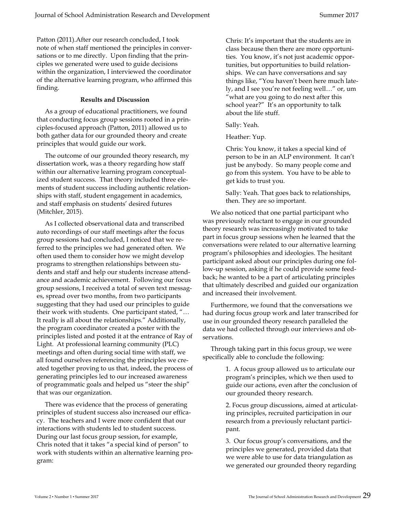Patton (2011).After our research concluded, I took note of when staff mentioned the principles in conversations or to me directly. Upon finding that the principles we generated were used to guide decisions within the organization, I interviewed the coordinator of the alternative learning program, who affirmed this finding.

## Results and Discussion

 As a group of educational practitioners, we found that conducting focus group sessions rooted in a principles-focused approach (Patton, 2011) allowed us to both gather data for our grounded theory and create principles that would guide our work.

 The outcome of our grounded theory research, my dissertation work, was a theory regarding how staff within our alternative learning program conceptualized student success. That theory included three elements of student success including authentic relationships with staff, student engagement in academics, and staff emphasis on students' desired futures (Mitchler, 2015).

 As I collected observational data and transcribed auto recordings of our staff meetings after the focus group sessions had concluded, I noticed that we referred to the principles we had generated often. We often used them to consider how we might develop programs to strengthen relationships between students and staff and help our students increase attendance and academic achievement. Following our focus group sessions, I received a total of seven text messages, spread over two months, from two participants suggesting that they had used our principles to guide their work with students. One participant stated, "… It really is all about the relationships." Additionally, the program coordinator created a poster with the principles listed and posted it at the entrance of Ray of Light. At professional learning community (PLC) meetings and often during social time with staff, we all found ourselves referencing the principles we created together proving to us that, indeed, the process of generating principles led to our increased awareness of programmatic goals and helped us "steer the ship" that was our organization.

 There was evidence that the process of generating principles of student success also increased our efficacy. The teachers and I were more confident that our interactions with students led to student success. During our last focus group session, for example, Chris noted that it takes "a special kind of person" to work with students within an alternative learning program:

Chris: It's important that the students are in class because then there are more opportunities. You know, it's not just academic opportunities, but opportunities to build relationships. We can have conversations and say things like, "You haven't been here much lately, and I see you're not feeling well…" or, um "what are you going to do next after this school year?" It's an opportunity to talk about the life stuff.

Sally: Yeah.

Heather: Yup.

Chris: You know, it takes a special kind of person to be in an ALP environment. It can't just be anybody. So many people come and go from this system. You have to be able to get kids to trust you.

Sally: Yeah. That goes back to relationships, then. They are so important.

 We also noticed that one partial participant who was previously reluctant to engage in our grounded theory research was increasingly motivated to take part in focus group sessions when he learned that the conversations were related to our alternative learning program's philosophies and ideologies. The hesitant participant asked about our principles during one follow-up session, asking if he could provide some feedback; he wanted to be a part of articulating principles that ultimately described and guided our organization and increased their involvement.

 Furthermore, we found that the conversations we had during focus group work and later transcribed for use in our grounded theory research paralleled the data we had collected through our interviews and observations.

 Through taking part in this focus group, we were specifically able to conclude the following:

> 1. A focus group allowed us to articulate our program's principles, which we then used to guide our actions, even after the conclusion of our grounded theory research.

> 2. Focus group discussions, aimed at articulating principles, recruited participation in our research from a previously reluctant participant.

3. Our focus group's conversations, and the principles we generated, provided data that we were able to use for data triangulation as we generated our grounded theory regarding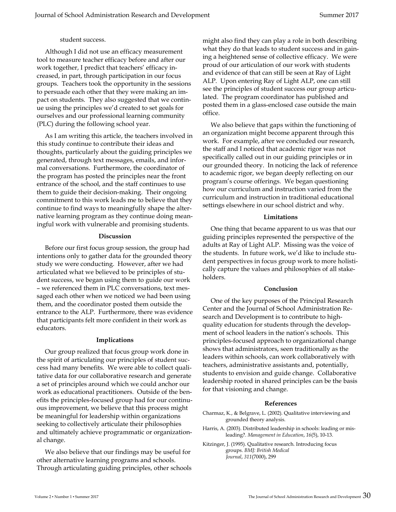## student success.

 Although I did not use an efficacy measurement tool to measure teacher efficacy before and after our work together, I predict that teachers' efficacy increased, in part, through participation in our focus groups. Teachers took the opportunity in the sessions to persuade each other that they were making an impact on students. They also suggested that we continue using the principles we'd created to set goals for ourselves and our professional learning community (PLC) during the following school year.

 As I am writing this article, the teachers involved in this study continue to contribute their ideas and thoughts, particularly about the guiding principles we generated, through text messages, emails, and informal conversations. Furthermore, the coordinator of the program has posted the principles near the front entrance of the school, and the staff continues to use them to guide their decision-making. Their ongoing commitment to this work leads me to believe that they continue to find ways to meaningfully shape the alternative learning program as they continue doing meaningful work with vulnerable and promising students.

#### Discussion

 Before our first focus group session, the group had intentions only to gather data for the grounded theory study we were conducting. However, after we had articulated what we believed to be principles of student success, we began using them to guide our work – we referenced them in PLC conversations, text messaged each other when we noticed we had been using them, and the coordinator posted them outside the entrance to the ALP. Furthermore, there was evidence that participants felt more confident in their work as educators.

## Implications

 Our group realized that focus group work done in the spirit of articulating our principles of student success had many benefits. We were able to collect qualitative data for our collaborative research and generate a set of principles around which we could anchor our work as educational practitioners. Outside of the benefits the principles-focused group had for our continuous improvement, we believe that this process might be meaningful for leadership within organizations seeking to collectively articulate their philosophies and ultimately achieve programmatic or organizational change.

 We also believe that our findings may be useful for other alternative learning programs and schools. Through articulating guiding principles, other schools might also find they can play a role in both describing what they do that leads to student success and in gaining a heightened sense of collective efficacy. We were proud of our articulation of our work with students and evidence of that can still be seen at Ray of Light ALP. Upon entering Ray of Light ALP, one can still see the principles of student success our group articulated. The program coordinator has published and posted them in a glass-enclosed case outside the main office.

 We also believe that gaps within the functioning of an organization might become apparent through this work. For example, after we concluded our research, the staff and I noticed that academic rigor was not specifically called out in our guiding principles or in our grounded theory. In noticing the lack of reference to academic rigor, we began deeply reflecting on our program's course offerings. We began questioning how our curriculum and instruction varied from the curriculum and instruction in traditional educational settings elsewhere in our school district and why.

## Limitations

 One thing that became apparent to us was that our guiding principles represented the perspective of the adults at Ray of Light ALP. Missing was the voice of the students. In future work, we'd like to include student perspectives in focus group work to more holistically capture the values and philosophies of all stakeholders.

## Conclusion

 One of the key purposes of the Principal Research Center and the Journal of School Administration Research and Development is to contribute to highquality education for students through the development of school leaders in the nation's schools. This principles-focused approach to organizational change shows that administrators, seen traditionally as the leaders within schools, can work collaboratively with teachers, administrative assistants and, potentially, students to envision and guide change. Collaborative leadership rooted in shared principles can be the basis for that visioning and change.

## References

- Charmaz, K., & Belgrave, L. (2002). Qualitative interviewing and grounded theory analysis.
- Harris, A. (2003). Distributed leadership in schools: leading or misleading?. Management in Education, 16(5), 10-13.
- Kitzinger, J. (1995). Qualitative research. Introducing focus groups. BMJ: British Medical Journal, 311(7000), 299